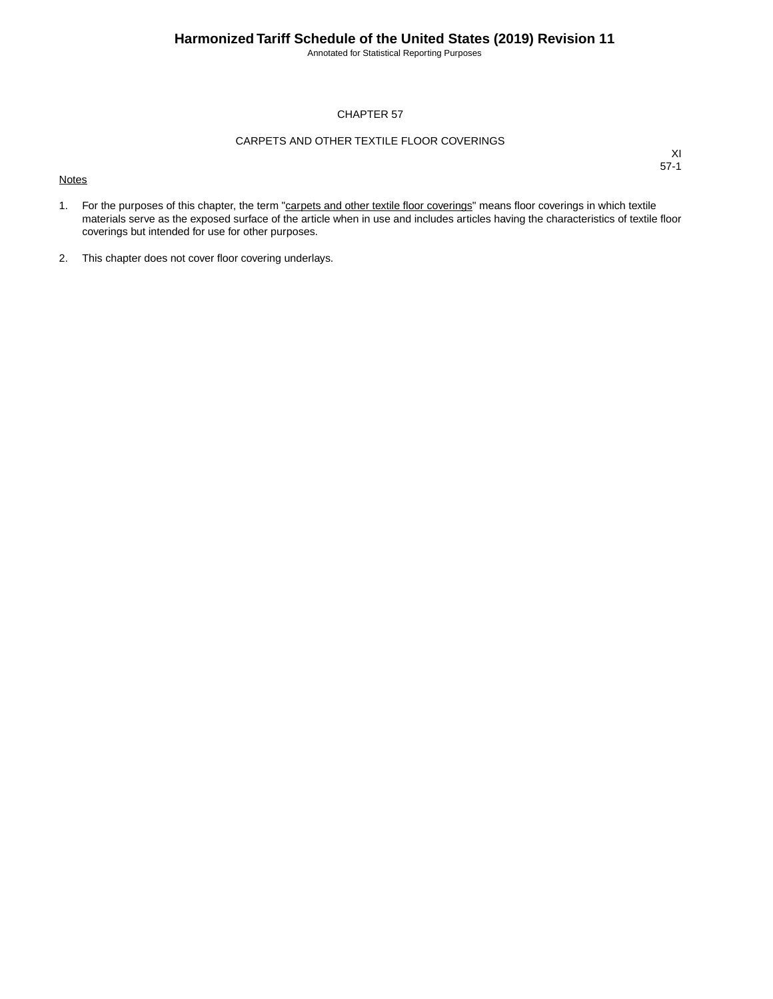Annotated for Statistical Reporting Purposes

#### CHAPTER 57

#### CARPETS AND OTHER TEXTILE FLOOR COVERINGS

#### **Notes**

- 1. For the purposes of this chapter, the term "carpets and other textile floor coverings" means floor coverings in which textile materials serve as the exposed surface of the article when in use and includes articles having the characteristics of textile floor coverings but intended for use for other purposes.
- 2. This chapter does not cover floor covering underlays.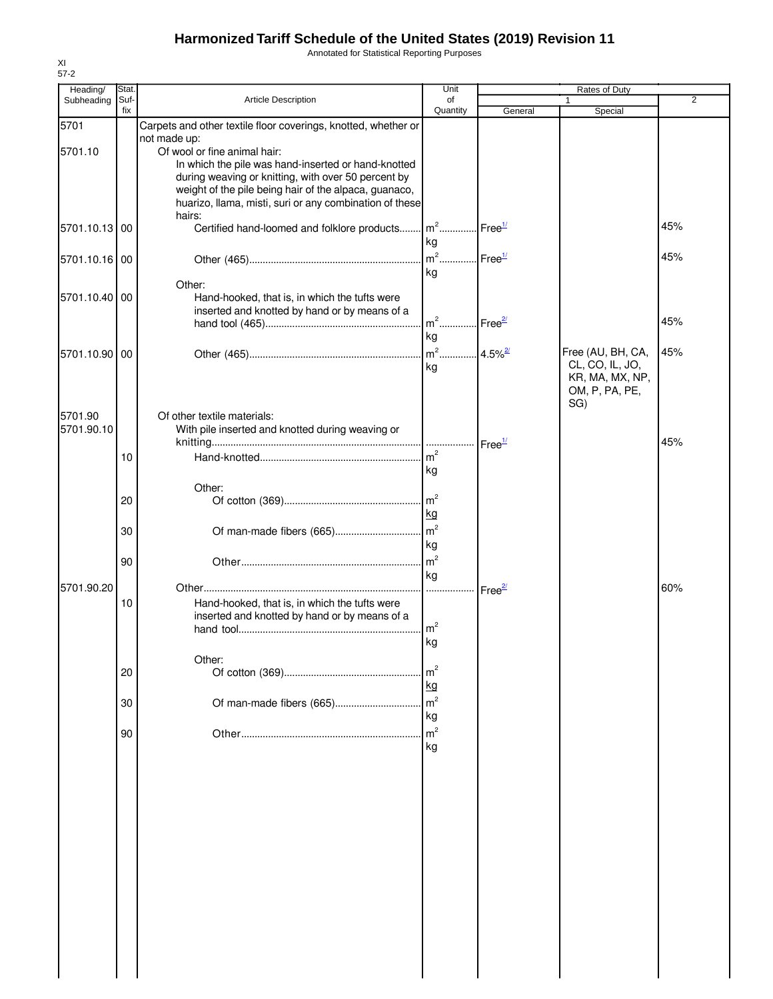Annotated for Statistical Reporting Purposes

| Heading/      | Stat.       |                                                                                                              | Unit                              |                             | Rates of Duty     |                |
|---------------|-------------|--------------------------------------------------------------------------------------------------------------|-----------------------------------|-----------------------------|-------------------|----------------|
| Subheading    | Suf-<br>fix | Article Description                                                                                          | of<br>Quantity                    | General                     | Special           | $\overline{2}$ |
| 5701          |             | Carpets and other textile floor coverings, knotted, whether or                                               |                                   |                             |                   |                |
|               |             | not made up:                                                                                                 |                                   |                             |                   |                |
| 5701.10       |             | Of wool or fine animal hair:                                                                                 |                                   |                             |                   |                |
|               |             | In which the pile was hand-inserted or hand-knotted                                                          |                                   |                             |                   |                |
|               |             | during weaving or knitting, with over 50 percent by<br>weight of the pile being hair of the alpaca, guanaco, |                                   |                             |                   |                |
|               |             | huarizo, llama, misti, suri or any combination of these                                                      |                                   |                             |                   |                |
|               |             | hairs:                                                                                                       |                                   |                             |                   |                |
| 5701.10.13 00 |             | Certified hand-loomed and folklore products                                                                  | $m^2$                             | Free <sup>1/</sup>          |                   | 45%            |
|               |             |                                                                                                              | kg                                |                             |                   |                |
| 5701.10.16 00 |             |                                                                                                              | $m2$                              | $\text{Free}^{\frac{1}{2}}$ |                   | 45%            |
|               |             |                                                                                                              | kg                                |                             |                   |                |
| 5701.10.40 00 |             | Other:                                                                                                       |                                   |                             |                   |                |
|               |             | Hand-hooked, that is, in which the tufts were<br>inserted and knotted by hand or by means of a               |                                   |                             |                   |                |
|               |             |                                                                                                              | m <sup>2</sup> Free <sup>27</sup> |                             |                   | 45%            |
|               |             |                                                                                                              | kg                                |                             |                   |                |
| 5701.10.90 00 |             |                                                                                                              |                                   |                             | Free (AU, BH, CA, | 45%            |
|               |             |                                                                                                              | kg                                |                             | CL, CO, IL, JO,   |                |
|               |             |                                                                                                              |                                   |                             | KR, MA, MX, NP,   |                |
|               |             |                                                                                                              |                                   |                             | OM, P, PA, PE,    |                |
| 5701.90       |             | Of other textile materials:                                                                                  |                                   |                             | SG)               |                |
| 5701.90.10    |             | With pile inserted and knotted during weaving or                                                             |                                   |                             |                   |                |
|               |             |                                                                                                              |                                   | Free <sup>1/</sup>          |                   | 45%            |
|               | 10          |                                                                                                              | m <sup>2</sup>                    |                             |                   |                |
|               |             |                                                                                                              | kg                                |                             |                   |                |
|               |             | Other:                                                                                                       |                                   |                             |                   |                |
|               | 20          |                                                                                                              | $\mathsf{Im}^2$                   |                             |                   |                |
|               |             |                                                                                                              | kg                                |                             |                   |                |
|               | 30          |                                                                                                              |                                   |                             |                   |                |
|               |             |                                                                                                              | kg                                |                             |                   |                |
|               | 90          |                                                                                                              | $\rm{m}^2$                        |                             |                   |                |
|               |             |                                                                                                              | kg                                |                             |                   |                |
| 5701.90.20    |             |                                                                                                              |                                   | Free <sup>27</sup>          |                   | 60%            |
|               | 10          | Hand-hooked, that is, in which the tufts were<br>inserted and knotted by hand or by means of a               |                                   |                             |                   |                |
|               |             |                                                                                                              | m <sup>2</sup>                    |                             |                   |                |
|               |             |                                                                                                              | l kg                              |                             |                   |                |
|               |             | Other:                                                                                                       |                                   |                             |                   |                |
|               | 20          |                                                                                                              | m <sup>2</sup>                    |                             |                   |                |
|               |             |                                                                                                              | kg                                |                             |                   |                |
|               | 30          |                                                                                                              | m <sup>2</sup>                    |                             |                   |                |
|               |             |                                                                                                              | kg                                |                             |                   |                |
|               | 90          |                                                                                                              | m <sup>2</sup>                    |                             |                   |                |
|               |             |                                                                                                              | kg                                |                             |                   |                |
|               |             |                                                                                                              |                                   |                             |                   |                |
|               |             |                                                                                                              |                                   |                             |                   |                |
|               |             |                                                                                                              |                                   |                             |                   |                |
|               |             |                                                                                                              |                                   |                             |                   |                |
|               |             |                                                                                                              |                                   |                             |                   |                |
|               |             |                                                                                                              |                                   |                             |                   |                |
|               |             |                                                                                                              |                                   |                             |                   |                |
|               |             |                                                                                                              |                                   |                             |                   |                |
|               |             |                                                                                                              |                                   |                             |                   |                |
|               |             |                                                                                                              |                                   |                             |                   |                |
|               |             |                                                                                                              |                                   |                             |                   |                |
|               |             |                                                                                                              |                                   |                             |                   |                |
|               |             |                                                                                                              |                                   |                             |                   |                |
|               |             |                                                                                                              |                                   |                             |                   |                |
|               |             |                                                                                                              |                                   |                             |                   |                |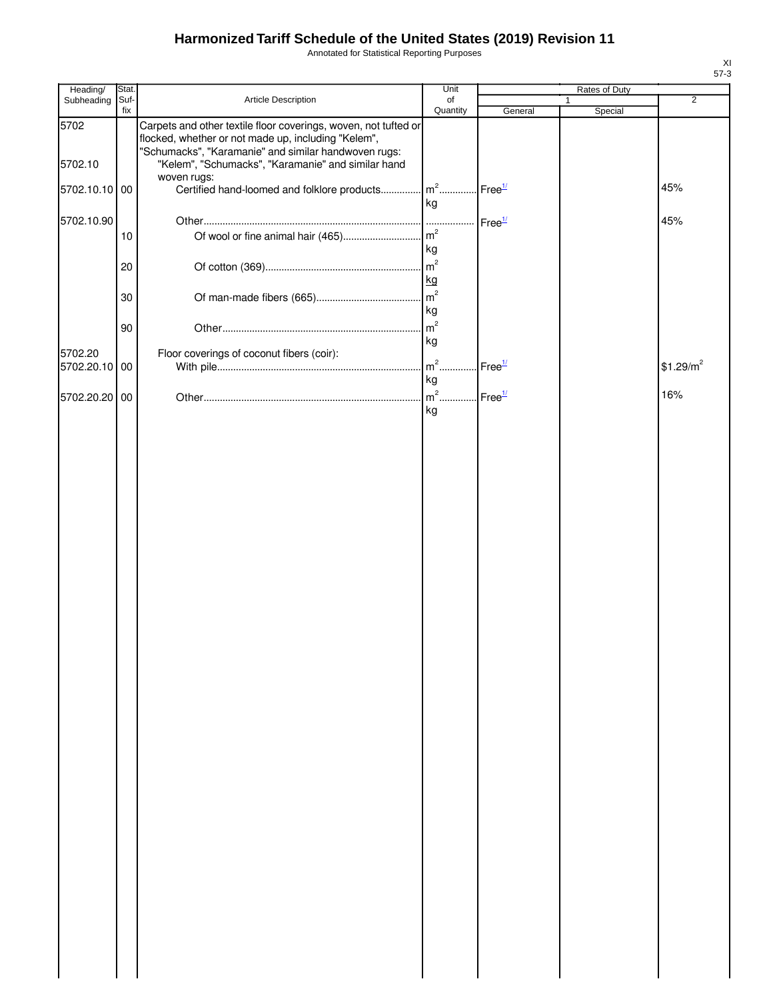Annotated for Statistical Reporting Purposes

| Heading/                 | Stat.       |                                                                                                                                                                                | Unit                 |                    | Rates of Duty |                       |
|--------------------------|-------------|--------------------------------------------------------------------------------------------------------------------------------------------------------------------------------|----------------------|--------------------|---------------|-----------------------|
| Subheading               | Suf-<br>fix | Article Description                                                                                                                                                            | of<br>Quantity       | General            | Special       | $\overline{2}$        |
| 5702                     |             | Carpets and other textile floor coverings, woven, not tufted or<br>flocked, whether or not made up, including "Kelem",<br>"Schumacks", "Karamanie" and similar handwoven rugs: |                      |                    |               |                       |
| 5702.10                  |             | "Kelem", "Schumacks", "Karamanie" and similar hand<br>woven rugs:                                                                                                              |                      |                    |               |                       |
| 5702.10.10 00            |             | Certified hand-loomed and folklore products                                                                                                                                    | $m2$<br>kg           | Free <sup>1/</sup> |               | 45%                   |
| 5702.10.90               |             |                                                                                                                                                                                |                      | Free <sup>1/</sup> |               | 45%                   |
|                          | 10          |                                                                                                                                                                                | kg                   |                    |               |                       |
|                          | 20          |                                                                                                                                                                                | $\mathsf{m}^2$<br>kg |                    |               |                       |
|                          | 30          |                                                                                                                                                                                | kg                   |                    |               |                       |
|                          | 90          |                                                                                                                                                                                | m <sup>2</sup>       |                    |               |                       |
| 5702.20<br>5702.20.10 00 |             | Floor coverings of coconut fibers (coir):                                                                                                                                      | kg<br>$m2$ .         | Free <sup>1/</sup> |               | \$1.29/m <sup>2</sup> |
|                          |             |                                                                                                                                                                                | kg                   |                    |               |                       |
| 5702.20.20 00            |             |                                                                                                                                                                                | $m2$ .<br>kg         | Free <sup>1/</sup> |               | 16%                   |
|                          |             |                                                                                                                                                                                |                      |                    |               |                       |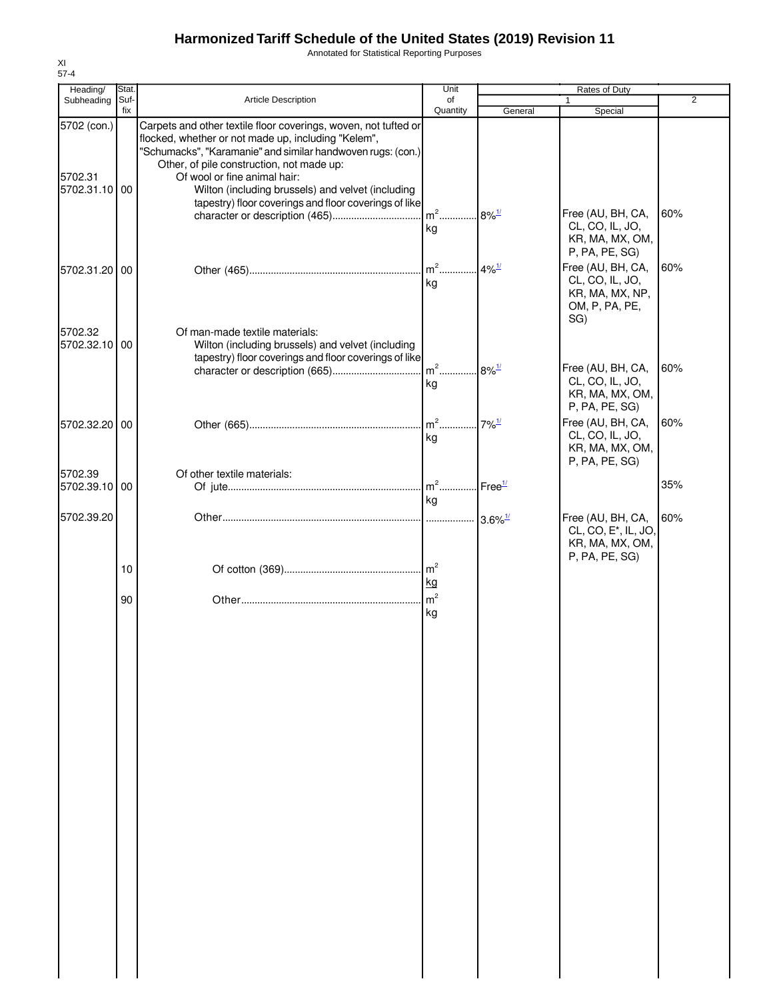Annotated for Statistical Reporting Purposes

| Heading/                                | Stat.       |                                                                                                                                                                                                                                                                                                                                                                                  | Unit                                    |                             | Rates of Duty                                                                                |                |
|-----------------------------------------|-------------|----------------------------------------------------------------------------------------------------------------------------------------------------------------------------------------------------------------------------------------------------------------------------------------------------------------------------------------------------------------------------------|-----------------------------------------|-----------------------------|----------------------------------------------------------------------------------------------|----------------|
| Subheading                              | Suf-<br>fix | <b>Article Description</b>                                                                                                                                                                                                                                                                                                                                                       | of<br>Quantity                          | General                     | Special                                                                                      | $\overline{2}$ |
| 5702 (con.)<br>5702.31<br>5702.31.10 00 |             | Carpets and other textile floor coverings, woven, not tufted or<br>flocked, whether or not made up, including "Kelem",<br>"Schumacks", "Karamanie" and similar handwoven rugs: (con.)<br>Other, of pile construction, not made up:<br>Of wool or fine animal hair:<br>Wilton (including brussels) and velvet (including<br>tapestry) floor coverings and floor coverings of like | $m2$                                    | $8\%$ <sup>1/</sup>         | Free (AU, BH, CA,                                                                            | 60%            |
| 5702.31.20 00                           |             |                                                                                                                                                                                                                                                                                                                                                                                  | kg<br>$\mathsf{m}^2$<br>kg              | $4\%$ <sup>1/</sup>         | CL, CO, IL, JO,<br>KR, MA, MX, OM,<br>P, PA, PE, SG)<br>Free (AU, BH, CA,<br>CL, CO, IL, JO, | 60%            |
| 5702.32<br>5702.32.10 00                |             | Of man-made textile materials:<br>Wilton (including brussels) and velvet (including<br>tapestry) floor coverings and floor coverings of like                                                                                                                                                                                                                                     |                                         |                             | KR, MA, MX, NP,<br>OM, P, PA, PE,<br>SG)                                                     |                |
|                                         |             |                                                                                                                                                                                                                                                                                                                                                                                  | $m2$<br>kg                              | $8\%$ <sup>1/</sup>         | Free (AU, BH, CA,<br>CL, CO, IL, JO,<br>KR, MA, MX, OM,<br>P, PA, PE, SG)                    | 60%            |
| 5702.32.20 00                           |             |                                                                                                                                                                                                                                                                                                                                                                                  | $m2$<br>kg                              | $7\%$ <sup>1/</sup>         | Free (AU, BH, CA,<br>CL, CO, IL, JO,<br>KR, MA, MX, OM,<br>P, PA, PE, SG)                    | 60%            |
| 5702.39<br>5702.39.10 00                |             | Of other textile materials:                                                                                                                                                                                                                                                                                                                                                      | $\mathsf{Im}^2$<br>kg                   | $\text{Free}^{\frac{1}{2}}$ |                                                                                              | 35%            |
| 5702.39.20                              |             |                                                                                                                                                                                                                                                                                                                                                                                  |                                         | $3.6\%$ <sup>1/</sup>       | Free (AU, BH, CA,<br>CL, CO, E <sup>*</sup> , IL, JO,<br>KR, MA, MX, OM,<br>P, PA, PE, SG)   | 60%            |
|                                         | 10          |                                                                                                                                                                                                                                                                                                                                                                                  | $\mathsf{Im}^2$<br>kg<br>m <sup>2</sup> |                             |                                                                                              |                |
|                                         | 90          |                                                                                                                                                                                                                                                                                                                                                                                  | kg                                      |                             |                                                                                              |                |
|                                         |             |                                                                                                                                                                                                                                                                                                                                                                                  |                                         |                             |                                                                                              |                |
|                                         |             |                                                                                                                                                                                                                                                                                                                                                                                  |                                         |                             |                                                                                              |                |
|                                         |             |                                                                                                                                                                                                                                                                                                                                                                                  |                                         |                             |                                                                                              |                |
|                                         |             |                                                                                                                                                                                                                                                                                                                                                                                  |                                         |                             |                                                                                              |                |
|                                         |             |                                                                                                                                                                                                                                                                                                                                                                                  |                                         |                             |                                                                                              |                |
|                                         |             |                                                                                                                                                                                                                                                                                                                                                                                  |                                         |                             |                                                                                              |                |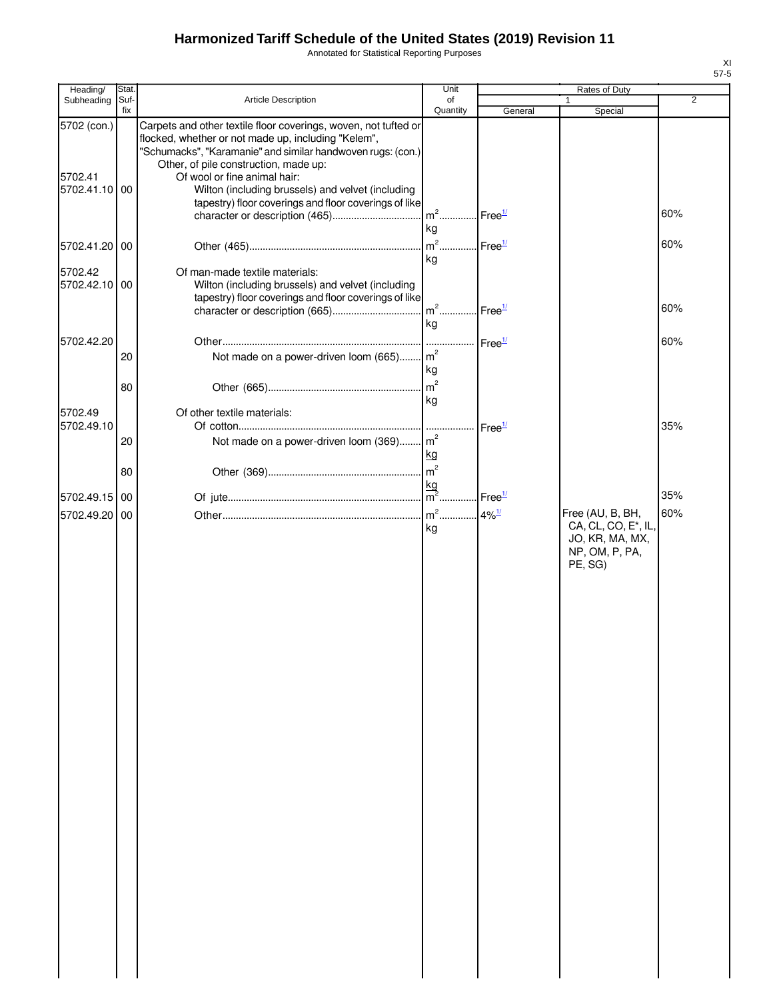Annotated for Statistical Reporting Purposes

| Heading/                             | Stat.       |                                                                                                                                                                                                                                                                                                                                                                              | Unit                 |                    | Rates of Duty                                                                                        |     |
|--------------------------------------|-------------|------------------------------------------------------------------------------------------------------------------------------------------------------------------------------------------------------------------------------------------------------------------------------------------------------------------------------------------------------------------------------|----------------------|--------------------|------------------------------------------------------------------------------------------------------|-----|
| Subheading                           | Suf-<br>fix | Article Description                                                                                                                                                                                                                                                                                                                                                          | of<br>Quantity       | General            | $\mathbf{1}$<br>Special                                                                              | 2   |
| 5702 (con.)<br>5702.41<br>5702.41.10 | 00          | Carpets and other textile floor coverings, woven, not tufted or<br>flocked, whether or not made up, including "Kelem",<br>"Schumacks", "Karamanie" and similar handwoven rugs: (con.)<br>Other, of pile construction, made up:<br>Of wool or fine animal hair:<br>Wilton (including brussels) and velvet (including<br>tapestry) floor coverings and floor coverings of like | $m2$                 | Free <sup>1/</sup> |                                                                                                      | 60% |
| 5702.41.20 00                        |             |                                                                                                                                                                                                                                                                                                                                                                              | kg<br>$m2$           | Free <sup>1/</sup> |                                                                                                      | 60% |
| 5702.42<br>5702.42.10 00             |             | Of man-made textile materials:<br>Wilton (including brussels) and velvet (including<br>tapestry) floor coverings and floor coverings of like                                                                                                                                                                                                                                 | kg<br>$m2$<br>kg     | Free <sup>1/</sup> |                                                                                                      | 60% |
|                                      |             |                                                                                                                                                                                                                                                                                                                                                                              |                      |                    |                                                                                                      |     |
| 5702.42.20                           | 20<br>80    | Not made on a power-driven loom (665) m <sup>2</sup>                                                                                                                                                                                                                                                                                                                         | kg<br>m <sup>2</sup> | Free <sup>1/</sup> |                                                                                                      | 60% |
| 5702.49                              |             | Of other textile materials:                                                                                                                                                                                                                                                                                                                                                  | kg                   |                    |                                                                                                      |     |
| 5702.49.10                           | 20          | Not made on a power-driven loom (369) m <sup>2</sup>                                                                                                                                                                                                                                                                                                                         | kg                   | Free <sup>1/</sup> |                                                                                                      | 35% |
|                                      | 80          |                                                                                                                                                                                                                                                                                                                                                                              |                      |                    |                                                                                                      |     |
| 5702.49.15 00                        |             |                                                                                                                                                                                                                                                                                                                                                                              |                      | Free <sup>1/</sup> |                                                                                                      | 35% |
| 5702.49.20                           | 00          |                                                                                                                                                                                                                                                                                                                                                                              | kg                   |                    | Free (AU, B, BH,<br>CA, CL, CO, E <sup>*</sup> , IL,<br>JO, KR, MA, MX,<br>NP, OM, P, PA,<br>PE, SG) | 60% |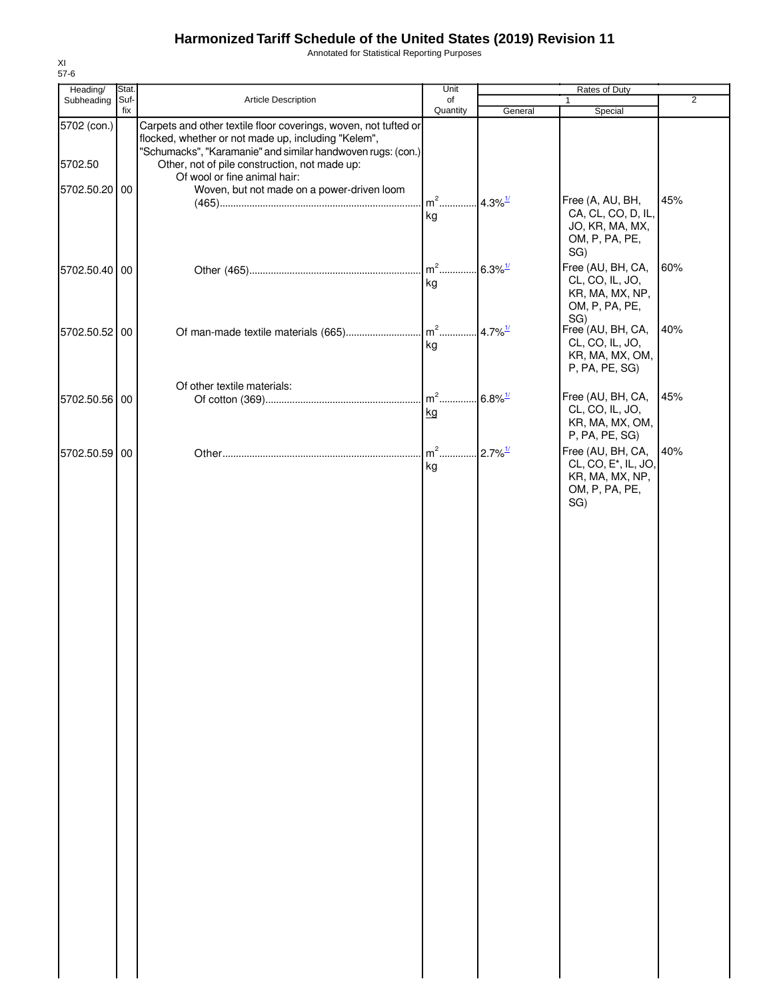Annotated for Statistical Reporting Purposes

| Heading/      | Stat.       |                                                                                                                                              | Unit                 |                       | Rates of Duty                                                                    |                |
|---------------|-------------|----------------------------------------------------------------------------------------------------------------------------------------------|----------------------|-----------------------|----------------------------------------------------------------------------------|----------------|
| Subheading    | Suf-<br>fix | Article Description                                                                                                                          | of<br>Quantity       | General               | 1<br>Special                                                                     | $\overline{2}$ |
| 5702 (con.)   |             | Carpets and other textile floor coverings, woven, not tufted or<br>flocked, whether or not made up, including "Kelem",                       |                      |                       |                                                                                  |                |
| 5702.50       |             | "Schumacks", "Karamanie" and similar handwoven rugs: (con.)<br>Other, not of pile construction, not made up:<br>Of wool or fine animal hair: |                      |                       |                                                                                  |                |
| 5702.50.20 00 |             | Woven, but not made on a power-driven loom                                                                                                   | $m2$<br>kg           | $4.3\%$ <sup>1/</sup> | Free (A, AU, BH,<br>CA, CL, CO, D, IL,                                           | 45%            |
|               |             |                                                                                                                                              |                      |                       | JO, KR, MA, MX,<br>OM, P, PA, PE,<br>SG)                                         |                |
| 5702.50.40 00 |             |                                                                                                                                              | $m2$ .<br>kg         | $6.3\%$ <sup>1/</sup> | Free (AU, BH, CA,<br>CL, CO, IL, JO,<br>KR, MA, MX, NP,<br>OM, P, PA, PE,<br>SG) | 60%            |
| 5702.50.52 00 |             | Of man-made textile materials (665)                                                                                                          | $\mathbf{m}^2$<br>kg | $4.7\%$ <sup>1/</sup> | Free (AU, BH, CA,<br>CL, CO, IL, JO,<br>KR, MA, MX, OM,<br>P, PA, PE, SG)        | 40%            |
|               |             | Of other textile materials:                                                                                                                  | $m2$ .               |                       | Free (AU, BH, CA,                                                                | 45%            |
| 5702.50.56 00 |             |                                                                                                                                              | kg                   | $6.8\%$ <sup>1/</sup> | CL, CO, IL, JO,                                                                  |                |
|               |             |                                                                                                                                              |                      |                       | KR, MA, MX, OM,<br>P, PA, PE, SG)                                                |                |
| 5702.50.59 00 |             |                                                                                                                                              | $m2$                 | $2.7\%$ <sup>1/</sup> | Free (AU, BH, CA,<br>CL, CO, E <sup>*</sup> , IL, JO,                            | 40%            |
|               |             |                                                                                                                                              | kg                   |                       | KR, MA, MX, NP,<br>OM, P, PA, PE,<br>SG)                                         |                |
|               |             |                                                                                                                                              |                      |                       |                                                                                  |                |
|               |             |                                                                                                                                              |                      |                       |                                                                                  |                |
|               |             |                                                                                                                                              |                      |                       |                                                                                  |                |
|               |             |                                                                                                                                              |                      |                       |                                                                                  |                |
|               |             |                                                                                                                                              |                      |                       |                                                                                  |                |
|               |             |                                                                                                                                              |                      |                       |                                                                                  |                |
|               |             |                                                                                                                                              |                      |                       |                                                                                  |                |
|               |             |                                                                                                                                              |                      |                       |                                                                                  |                |
|               |             |                                                                                                                                              |                      |                       |                                                                                  |                |
|               |             |                                                                                                                                              |                      |                       |                                                                                  |                |
|               |             |                                                                                                                                              |                      |                       |                                                                                  |                |
|               |             |                                                                                                                                              |                      |                       |                                                                                  |                |
|               |             |                                                                                                                                              |                      |                       |                                                                                  |                |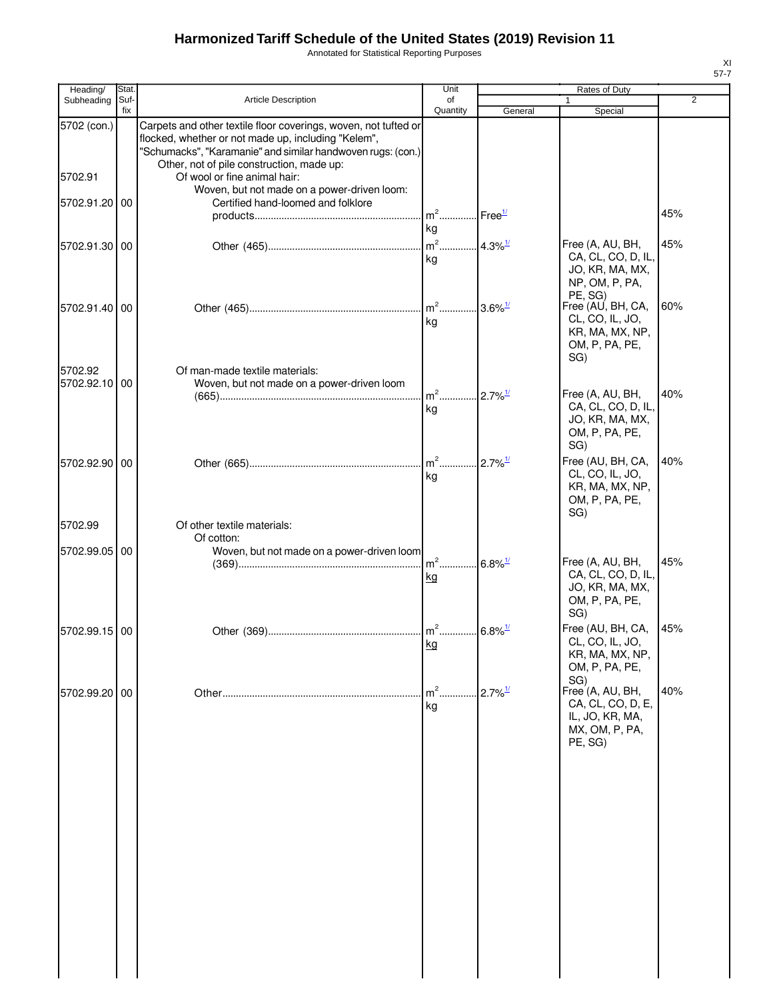Annotated for Statistical Reporting Purposes

| ۰, |  |
|----|--|

| Heading/                             | Stat.       |                                                                                                                                                                                                                                                                                                                                                         | Unit                                    |                        | Rates of Duty                                                                          |                |
|--------------------------------------|-------------|---------------------------------------------------------------------------------------------------------------------------------------------------------------------------------------------------------------------------------------------------------------------------------------------------------------------------------------------------------|-----------------------------------------|------------------------|----------------------------------------------------------------------------------------|----------------|
| Subheading                           | Suf-<br>fix | <b>Article Description</b>                                                                                                                                                                                                                                                                                                                              | of<br>Quantity                          | General                | $\mathbf{1}$<br>Special                                                                | $\overline{2}$ |
| 5702 (con.)<br>5702.91<br>5702.91.20 | 00          | Carpets and other textile floor coverings, woven, not tufted or<br>flocked, whether or not made up, including "Kelem",<br>"Schumacks", "Karamanie" and similar handwoven rugs: (con.)<br>Other, not of pile construction, made up:<br>Of wool or fine animal hair:<br>Woven, but not made on a power-driven loom:<br>Certified hand-loomed and folklore |                                         |                        |                                                                                        |                |
|                                      |             |                                                                                                                                                                                                                                                                                                                                                         | m <sup>2</sup> Free <sup>1/</sup><br>kg |                        |                                                                                        | 45%            |
| 5702.91.30 00                        |             |                                                                                                                                                                                                                                                                                                                                                         | $\mathsf{m}^2$<br>kg                    | $.4.3\%$ <sup>1/</sup> | Free (A, AU, BH,<br>CA, CL, CO, D, IL,<br>JO, KR, MA, MX,<br>NP, OM, P, PA,<br>PE, SG) | 45%            |
| 5702.91.40 00                        |             |                                                                                                                                                                                                                                                                                                                                                         | $\mathsf{m}^2$<br>kg                    | $3.6\%$ <sup>1/</sup>  | Free (AU, BH, CA,<br>CL, CO, IL, JO,<br>KR, MA, MX, NP,<br>OM, P, PA, PE,<br>SG)       | 60%            |
| 5702.92                              |             | Of man-made textile materials:                                                                                                                                                                                                                                                                                                                          |                                         |                        |                                                                                        |                |
| 5702.92.10 00                        |             | Woven, but not made on a power-driven loom                                                                                                                                                                                                                                                                                                              | $m2$                                    | $2.7\%$ <sup>1/</sup>  | Free (A, AU, BH,                                                                       | 40%            |
|                                      |             |                                                                                                                                                                                                                                                                                                                                                         | kg                                      |                        | CA, CL, CO, D, IL,<br>JO, KR, MA, MX,<br>OM, P, PA, PE,<br>SG)                         |                |
| 5702.92.90                           | 00          |                                                                                                                                                                                                                                                                                                                                                         | kg                                      | $2.7\%$ <sup>1/</sup>  | Free (AU, BH, CA,<br>CL, CO, IL, JO,<br>KR, MA, MX, NP,<br>OM, P, PA, PE,<br>SG)       | 40%            |
| 5702.99                              |             | Of other textile materials:                                                                                                                                                                                                                                                                                                                             |                                         |                        |                                                                                        |                |
| 5702.99.05 00                        |             | Of cotton:<br>Woven, but not made on a power-driven loom                                                                                                                                                                                                                                                                                                |                                         |                        |                                                                                        |                |
|                                      |             |                                                                                                                                                                                                                                                                                                                                                         | kg                                      | $.6.8\%$ <sup>1/</sup> | Free (A, AU, BH,<br>CA, CL, CO, D, IL,<br>JO, KR, MA, MX,<br>OM, P, PA, PE,<br>SG)     | 45%            |
| 5702.99.15 00                        |             |                                                                                                                                                                                                                                                                                                                                                         | m <sup>2</sup> 6.8% <sup>1/</sup>       |                        | Free (AU, BH, CA,                                                                      | 45%            |
|                                      |             |                                                                                                                                                                                                                                                                                                                                                         | kg                                      |                        | CL, CO, IL, JO,<br>KR, MA, MX, NP,<br>OM, P, PA, PE,<br>SG)                            |                |
| 5702.99.20 00                        |             |                                                                                                                                                                                                                                                                                                                                                         | $m2$ .<br>kg                            | $2.7\%$ <sup>1/</sup>  | Free (A, AU, BH,<br>CA, CL, CO, D, E,<br>IL, JO, KR, MA,<br>MX, OM, P, PA,<br>PE, SG)  | 40%            |
|                                      |             |                                                                                                                                                                                                                                                                                                                                                         |                                         |                        |                                                                                        |                |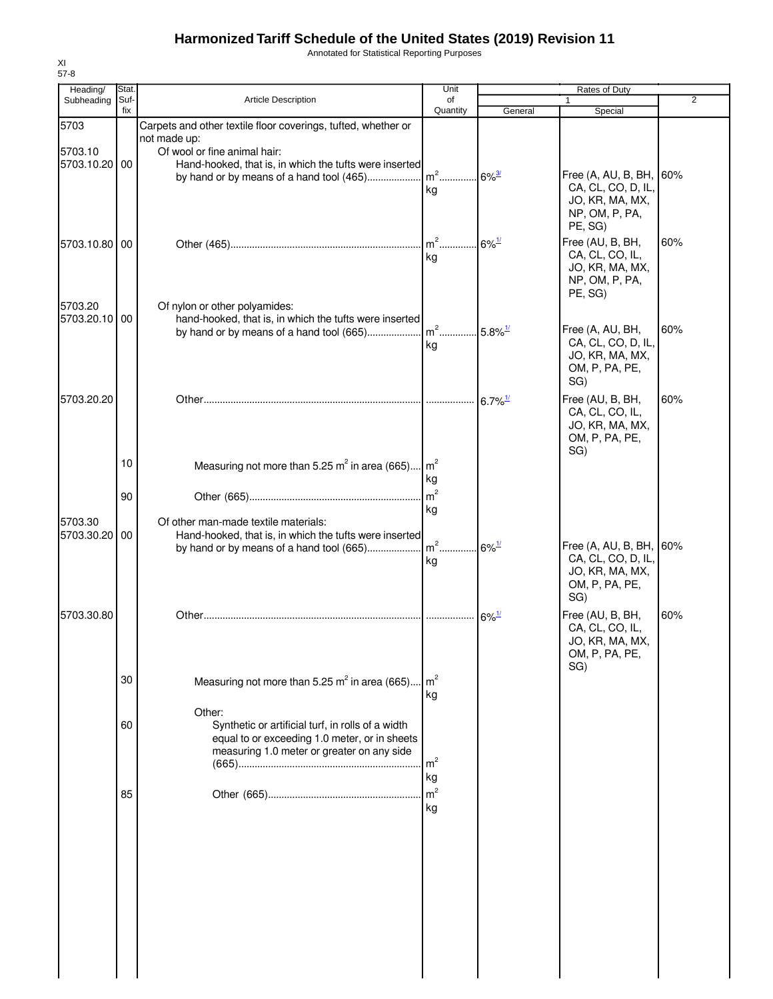Annotated for Statistical Reporting Purposes

| Heading/                 | Stat.       |                                                                                                                                                            | Unit                  |                       | Rates of Duty                                                                                 |                |
|--------------------------|-------------|------------------------------------------------------------------------------------------------------------------------------------------------------------|-----------------------|-----------------------|-----------------------------------------------------------------------------------------------|----------------|
| Subheading               | Suf-<br>fix | <b>Article Description</b>                                                                                                                                 | of<br>Quantity        | General               | 1<br>Special                                                                                  | $\overline{2}$ |
| 5703<br>5703.10          |             | Carpets and other textile floor coverings, tufted, whether or<br>not made up:<br>Of wool or fine animal hair:                                              |                       |                       |                                                                                               |                |
| 5703.10.20 00            |             | Hand-hooked, that is, in which the tufts were inserted<br>by hand or by means of a hand tool (465)                                                         | $m2$<br>kg            | $6\%$ <sup>3/</sup>   | Free (A, AU, B, BH, 60%<br>CA, CL, CO, D, IL,<br>JO, KR, MA, MX,<br>NP, OM, P, PA,<br>PE, SG) |                |
| 5703.10.80 00            |             |                                                                                                                                                            | $m^2$<br>kg           | $6\%$ <sup>1/</sup>   | Free (AU, B, BH,<br>CA, CL, CO, IL,<br>JO, KR, MA, MX,<br>NP, OM, P, PA,<br>PE, SG)           | 60%            |
| 5703.20<br>5703.20.10 00 |             | Of nylon or other polyamides:<br>hand-hooked, that is, in which the tufts were inserted<br>by hand or by means of a hand tool (665)                        | $m2$<br>kg            | $5.8\%$ <sup>1/</sup> | Free (A, AU, BH,<br>CA, CL, CO, D, IL,<br>JO, KR, MA, MX,<br>OM, P, PA, PE,<br>SG)            | 60%            |
| 5703.20.20               |             |                                                                                                                                                            |                       | $6.7\%$ <sup>1/</sup> | Free (AU, B, BH,<br>CA, CL, CO, IL,<br>JO, KR, MA, MX,<br>OM, P, PA, PE,<br>SG)               | 60%            |
|                          | 10          | Measuring not more than 5.25 $m^2$ in area (665) $m^2$                                                                                                     | kg<br>$\mathsf{m}^2$  |                       |                                                                                               |                |
| 5703.30                  | 90          | Of other man-made textile materials:                                                                                                                       | kg                    |                       |                                                                                               |                |
| 5703.30.20 00            |             | Hand-hooked, that is, in which the tufts were inserted                                                                                                     | kg                    | $6\%$ <sup>1/</sup>   | Free (A, AU, B, BH, 60%<br>CA, CL, CO, D, IL,<br>JO, KR, MA, MX,<br>OM, P, PA, PE,<br>SG)     |                |
| 5703.30.80               |             |                                                                                                                                                            |                       | $6\%$ <sup>1/</sup>   | Free (AU, B, BH,<br>CA, CL, CO, IL,<br>JO, KR, MA, MX,<br>OM, P, PA, PE,<br>SG)               | 60%            |
|                          | 30          | Measuring not more than 5.25 $m^2$ in area (665)                                                                                                           | $\mathsf{Im}^2$<br>kg |                       |                                                                                               |                |
|                          | 60          | Other:<br>Synthetic or artificial turf, in rolls of a width<br>equal to or exceeding 1.0 meter, or in sheets<br>measuring 1.0 meter or greater on any side | $\mathsf{m}^2$<br>kg  |                       |                                                                                               |                |
|                          | 85          |                                                                                                                                                            | m <sup>2</sup><br>kg  |                       |                                                                                               |                |
|                          |             |                                                                                                                                                            |                       |                       |                                                                                               |                |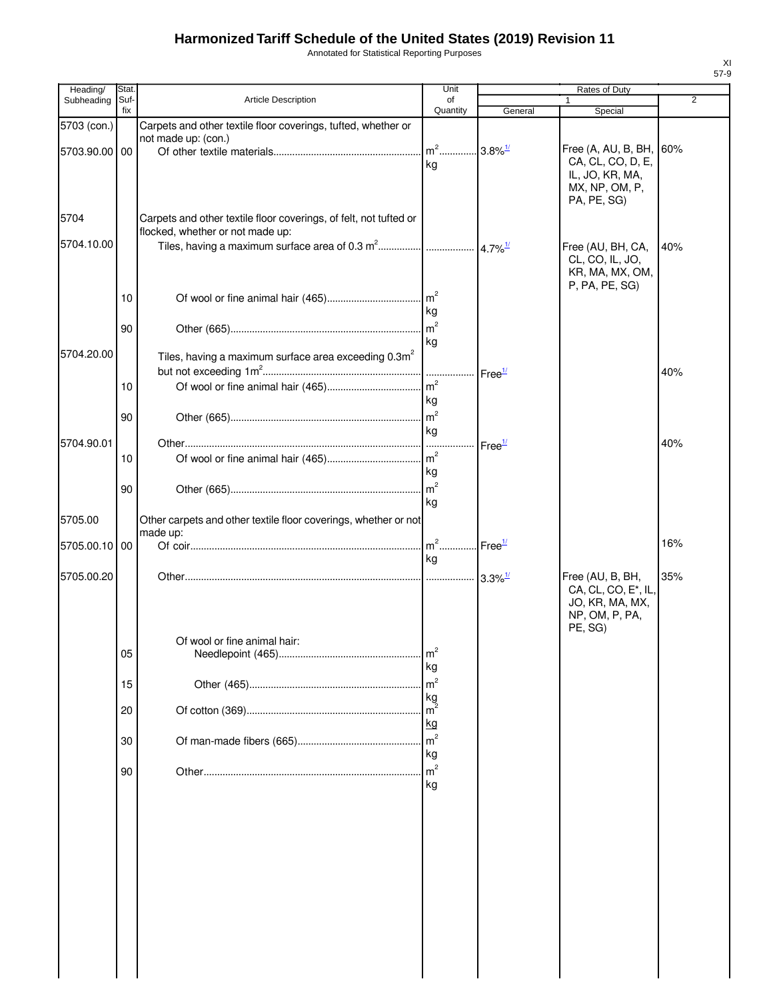Annotated for Statistical Reporting Purposes

| Heading/      | Stat. |                                                                                      | Unit           |                                 | Rates of Duty                     |                |
|---------------|-------|--------------------------------------------------------------------------------------|----------------|---------------------------------|-----------------------------------|----------------|
| Subheading    | Suf-  | Article Description                                                                  | of             |                                 | 1                                 | $\overline{2}$ |
|               | fix   |                                                                                      | Quantity       | General                         | Special                           |                |
| 5703 (con.)   |       | Carpets and other textile floor coverings, tufted, whether or<br>not made up: (con.) |                |                                 |                                   |                |
| 5703.90.00 00 |       |                                                                                      | $m2$ .         | $.3.8\%$ <sup>1/</sup>          | Free (A, AU, B, BH, 60%           |                |
|               |       |                                                                                      | kg             |                                 | CA, CL, CO, D, E,                 |                |
|               |       |                                                                                      |                |                                 | IL, JO, KR, MA,                   |                |
|               |       |                                                                                      |                |                                 | MX, NP, OM, P,                    |                |
|               |       |                                                                                      |                |                                 | PA, PE, SG)                       |                |
| 5704          |       | Carpets and other textile floor coverings, of felt, not tufted or                    |                |                                 |                                   |                |
|               |       | flocked, whether or not made up:                                                     |                |                                 |                                   |                |
| 5704.10.00    |       |                                                                                      |                |                                 | Free (AU, BH, CA,                 | 40%            |
|               |       |                                                                                      |                |                                 | CL, CO, IL, JO,                   |                |
|               |       |                                                                                      |                |                                 | KR, MA, MX, OM,                   |                |
|               | 10    |                                                                                      | m <sup>2</sup> |                                 | P, PA, PE, SG)                    |                |
|               |       |                                                                                      | kg             |                                 |                                   |                |
|               |       |                                                                                      | m <sup>2</sup> |                                 |                                   |                |
|               | 90    |                                                                                      |                |                                 |                                   |                |
| 5704.20.00    |       |                                                                                      | kg             |                                 |                                   |                |
|               |       | Tiles, having a maximum surface area exceeding 0.3m <sup>2</sup>                     |                |                                 |                                   |                |
|               |       |                                                                                      |                | Free <sup>1/</sup>              |                                   | 40%            |
|               | 10    |                                                                                      | m <sup>2</sup> |                                 |                                   |                |
|               |       |                                                                                      | kg             |                                 |                                   |                |
|               | 90    |                                                                                      | m <sup>2</sup> |                                 |                                   |                |
|               |       |                                                                                      | kg             |                                 |                                   |                |
| 5704.90.01    |       |                                                                                      |                | Free <sup>1/</sup>              |                                   | 40%            |
|               | 10    |                                                                                      |                |                                 |                                   |                |
|               |       |                                                                                      | kg             |                                 |                                   |                |
|               | 90    |                                                                                      | m <sup>2</sup> |                                 |                                   |                |
|               |       |                                                                                      | kg             |                                 |                                   |                |
| 5705.00       |       | Other carpets and other textile floor coverings, whether or not                      |                |                                 |                                   |                |
|               |       | made up:                                                                             |                |                                 |                                   |                |
| 5705.00.10 00 |       |                                                                                      | $m2$           | $\mathsf{I}$ Free $\frac{1}{2}$ |                                   | 16%            |
|               |       |                                                                                      | kg             |                                 |                                   |                |
| 5705.00.20    |       |                                                                                      |                | $3.3\%$ <sup>1/</sup>           | Free (AU, B, BH,                  | 35%            |
|               |       |                                                                                      |                |                                 | CA, CL, CO, E <sup>*</sup> , IL,  |                |
|               |       |                                                                                      |                |                                 | JO, KR, MA, MX,<br>NP, OM, P, PA, |                |
|               |       |                                                                                      |                |                                 | PE, SG)                           |                |
|               |       | Of wool or fine animal hair:                                                         |                |                                 |                                   |                |
|               | 05    |                                                                                      | m <sup>2</sup> |                                 |                                   |                |
|               |       |                                                                                      | kg             |                                 |                                   |                |
|               | 15    |                                                                                      | m <sup>2</sup> |                                 |                                   |                |
|               |       |                                                                                      | kg             |                                 |                                   |                |
|               | 20    |                                                                                      | m <sup>2</sup> |                                 |                                   |                |
|               |       |                                                                                      | kg             |                                 |                                   |                |
|               | 30    |                                                                                      | m <sup>2</sup> |                                 |                                   |                |
|               |       |                                                                                      | kg             |                                 |                                   |                |
|               | 90    |                                                                                      | m <sup>2</sup> |                                 |                                   |                |
|               |       |                                                                                      | kg             |                                 |                                   |                |
|               |       |                                                                                      |                |                                 |                                   |                |
|               |       |                                                                                      |                |                                 |                                   |                |
|               |       |                                                                                      |                |                                 |                                   |                |
|               |       |                                                                                      |                |                                 |                                   |                |
|               |       |                                                                                      |                |                                 |                                   |                |
|               |       |                                                                                      |                |                                 |                                   |                |
|               |       |                                                                                      |                |                                 |                                   |                |
|               |       |                                                                                      |                |                                 |                                   |                |
|               |       |                                                                                      |                |                                 |                                   |                |
|               |       |                                                                                      |                |                                 |                                   |                |
|               |       |                                                                                      |                |                                 |                                   |                |
|               |       |                                                                                      |                |                                 |                                   |                |
|               |       |                                                                                      |                |                                 |                                   |                |
|               |       |                                                                                      |                |                                 |                                   |                |